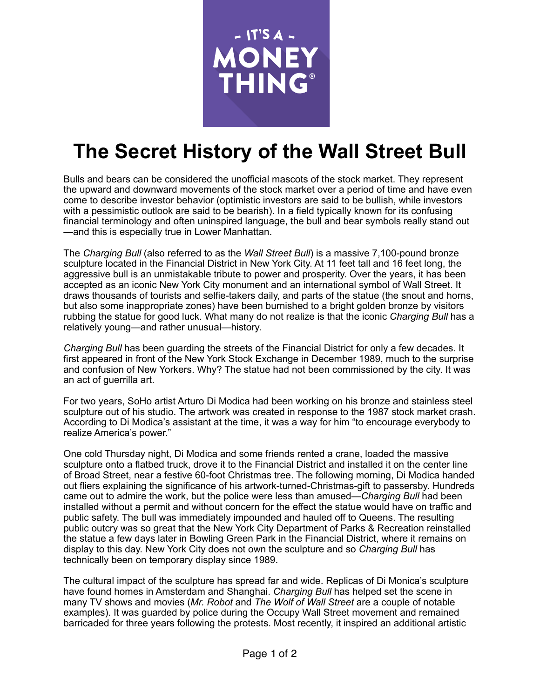

## **The Secret History of the Wall Street Bull**

Bulls and bears can be considered the unofficial mascots of the stock market. They represent the upward and downward movements of the stock market over a period of time and have even come to describe investor behavior (optimistic investors are said to be bullish, while investors with a pessimistic outlook are said to be bearish). In a field typically known for its confusing financial terminology and often uninspired language, the bull and bear symbols really stand out —and this is especially true in Lower Manhattan.

The *Charging Bull* (also referred to as the *Wall Street Bull*) is a massive 7,100-pound bronze sculpture located in the Financial District in New York City. At 11 feet tall and 16 feet long, the aggressive bull is an unmistakable tribute to power and prosperity. Over the years, it has been accepted as an iconic New York City monument and an international symbol of Wall Street. It draws thousands of tourists and selfie-takers daily, and parts of the statue (the snout and horns, but also some inappropriate zones) have been burnished to a bright golden bronze by visitors rubbing the statue for good luck. What many do not realize is that the iconic *Charging Bull* has a relatively young—and rather unusual—history.

*Charging Bull* has been guarding the streets of the Financial District for only a few decades. It first appeared in front of the New York Stock Exchange in December 1989, much to the surprise and confusion of New Yorkers. Why? The statue had not been commissioned by the city. It was an act of guerrilla art.

For two years, SoHo artist Arturo Di Modica had been working on his bronze and stainless steel sculpture out of his studio. The artwork was created in response to the 1987 stock market crash. According to Di Modica's assistant at the time, it was a way for him "to encourage everybody to realize America's power."

One cold Thursday night, Di Modica and some friends rented a crane, loaded the massive sculpture onto a flatbed truck, drove it to the Financial District and installed it on the center line of Broad Street, near a festive 60-foot Christmas tree. The following morning, Di Modica handed out fliers explaining the significance of his artwork-turned-Christmas-gift to passersby. Hundreds came out to admire the work, but the police were less than amused—*Charging Bull* had been installed without a permit and without concern for the effect the statue would have on traffic and public safety. The bull was immediately impounded and hauled off to Queens. The resulting public outcry was so great that the New York City Department of Parks & Recreation reinstalled the statue a few days later in Bowling Green Park in the Financial District, where it remains on display to this day. New York City does not own the sculpture and so *Charging Bull* has technically been on temporary display since 1989.

The cultural impact of the sculpture has spread far and wide. Replicas of Di Monica's sculpture have found homes in Amsterdam and Shanghai. *Charging Bull* has helped set the scene in many TV shows and movies (*Mr. Robot* and *The Wolf of Wall Street* are a couple of notable examples). It was guarded by police during the Occupy Wall Street movement and remained barricaded for three years following the protests. Most recently, it inspired an additional artistic